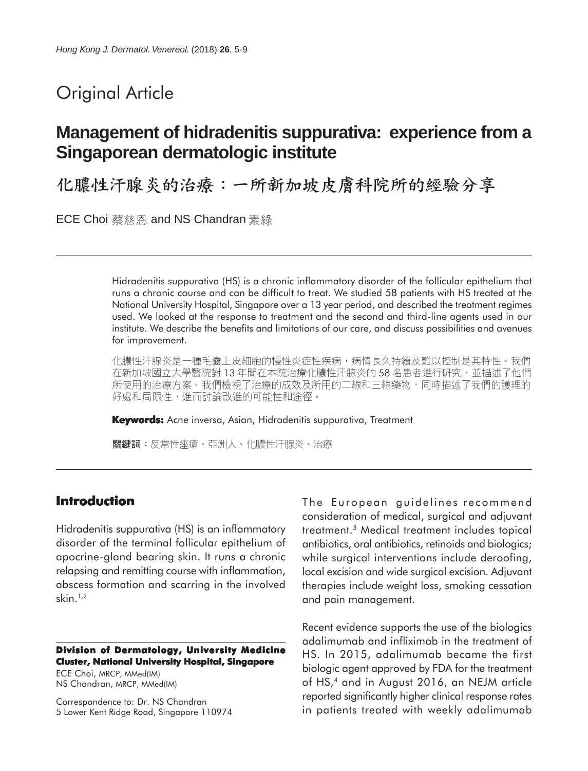# Original Article

# **Management of hidradenitis suppurativa: experience from a Singaporean dermatologic institute**

化膿性汗腺炎的治療:一所新加坡皮膚科院所的經驗分享

ECE Choi 蔡慈恩 and NS Chandran 素綠

Hidradenitis suppurativa (HS) is a chronic inflammatory disorder of the follicular epithelium that runs a chronic course and can be difficult to treat. We studied 58 patients with HS treated at the National University Hospital, Singapore over a 13 year period, and described the treatment regimes used. We looked at the response to treatment and the second and third-line agents used in our institute. We describe the benefits and limitations of our care, and discuss possibilities and avenues for improvement.

化膿性汗腺炎是一種毛囊上皮細胞的慢性炎症性疾病,病情長久持續及難以控制是其特性。我們 在新加坡國立大學醫院對 13 年間在本院治療化膿性汗腺炎的 58 名患者進行研究,並描述了他們 所使用的治療方案。我們檢視了治療的成效及所用的二線和三線藥物,同時描述了我們的護理的 好處和局限性,進而討論改進的可能性和途徑。

**Keywords:** Acne inversa, Asian, Hidradenitis suppurativa, Treatment

關鍵詞:反常性痤瘡、亞洲人、化膿性汗腺炎、治療

## **Introduction**

Hidradenitis suppurativa (HS) is an inflammatory disorder of the terminal follicular epithelium of apocrine-gland bearing skin. It runs a chronic relapsing and remitting course with inflammation, abscess formation and scarring in the involved skin.1,2

#### **Division of Dermatology, University Medicine Cluster, National University Hospital, Singapore**

ECE Choi, MRCP, MMed(IM) NS Chandran, MRCP, MMed(IM)

Correspondence to: Dr. NS Chandran 5 Lower Kent Ridge Road, Singapore 110974 The European guidelines recommend consideration of medical, surgical and adjuvant treatment.3 Medical treatment includes topical antibiotics, oral antibiotics, retinoids and biologics; while surgical interventions include deroofing, local excision and wide surgical excision. Adjuvant therapies include weight loss, smoking cessation and pain management.

Recent evidence supports the use of the biologics adalimumab and infliximab in the treatment of HS. In 2015, adalimumab became the first biologic agent approved by FDA for the treatment of HS,<sup>4</sup> and in August 2016, an NEJM article reported significantly higher clinical response rates in patients treated with weekly adalimumab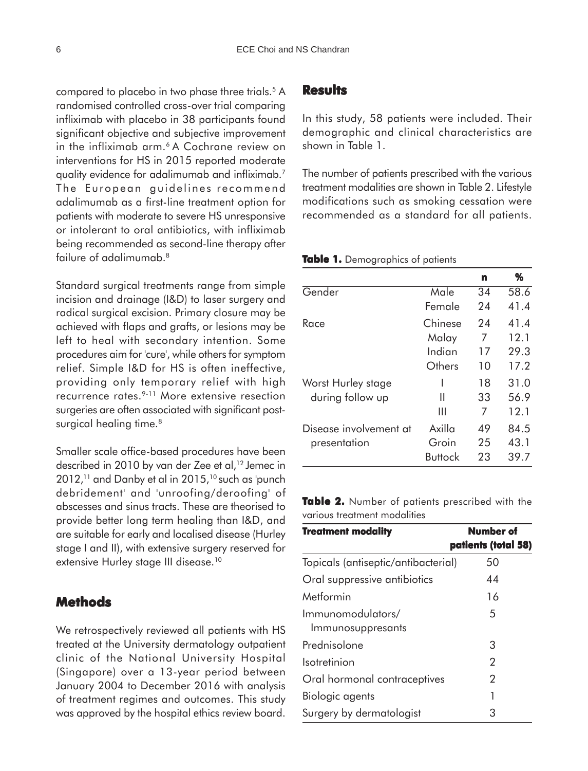compared to placebo in two phase three trials.<sup>5</sup> A randomised controlled cross-over trial comparing infliximab with placebo in 38 participants found significant objective and subjective improvement in the infliximab arm.6 A Cochrane review on interventions for HS in 2015 reported moderate quality evidence for adalimumab and infliximab.7 The European guidelines recommend adalimumab as a first-line treatment option for patients with moderate to severe HS unresponsive or intolerant to oral antibiotics, with infliximab being recommended as second-line therapy after failure of adalimumab.<sup>8</sup>

Standard surgical treatments range from simple incision and drainage (I&D) to laser surgery and radical surgical excision. Primary closure may be achieved with flaps and grafts, or lesions may be left to heal with secondary intention. Some procedures aim for 'cure', while others for symptom relief. Simple I&D for HS is often ineffective, providing only temporary relief with high recurrence rates.9-11 More extensive resection surgeries are often associated with significant postsurgical healing time.<sup>8</sup>

Smaller scale office-based procedures have been described in 2010 by van der Zee et al,<sup>12</sup> Jemec in  $2012$ ,<sup>11</sup> and Danby et al in  $2015$ ,<sup>10</sup> such as 'punch debridement' and 'unroofing/deroofing' of abscesses and sinus tracts. These are theorised to provide better long term healing than I&D, and are suitable for early and localised disease (Hurley stage I and II), with extensive surgery reserved for extensive Hurley stage III disease.<sup>10</sup>

## **Methods**

We retrospectively reviewed all patients with HS treated at the University dermatology outpatient clinic of the National University Hospital (Singapore) over a 13-year period between January 2004 to December 2016 with analysis of treatment regimes and outcomes. This study was approved by the hospital ethics review board.

### **Results**

In this study, 58 patients were included. Their demographic and clinical characteristics are shown in Table 1.

The number of patients prescribed with the various treatment modalities are shown in Table 2. Lifestyle modifications such as smoking cessation were recommended as a standard for all patients.

#### **Table 1.** Demographics of patients

|                        |         | n  | %    |
|------------------------|---------|----|------|
| Gender                 | Male    | 34 | 58.6 |
|                        | Female  | 24 | 41.4 |
| Race                   | Chinese | 24 | 41.4 |
|                        | Malay   | 7  | 12.1 |
|                        | Indian  | 17 | 29.3 |
|                        | Others  | 10 | 17.2 |
| Worst Hurley stage     |         | 18 | 31.0 |
| during follow up       | Ш       | 33 | 56.9 |
|                        | Ш       | 7  | 12.1 |
| Disease involvement at | Axilla  | 49 | 84.5 |
| presentation           | Groin   | 25 | 43.1 |
|                        | Buttock | 23 | 39.7 |

**Table 2.** Number of patients prescribed with the various treatment modalities

| <b>Treatment modality</b>              | Number of<br>patients (total 58) |
|----------------------------------------|----------------------------------|
| Topicals (antiseptic/antibacterial)    | 50                               |
| Oral suppressive antibiotics           | 44                               |
| Metformin                              | 16                               |
| Immunomodulators/<br>Immunosuppresants | 5                                |
| Prednisolone                           | З                                |
| Isotretinion                           | 2                                |
| Oral hormonal contraceptives           | 2                                |
| Biologic agents                        | 1                                |
| Surgery by dermatologist               | З                                |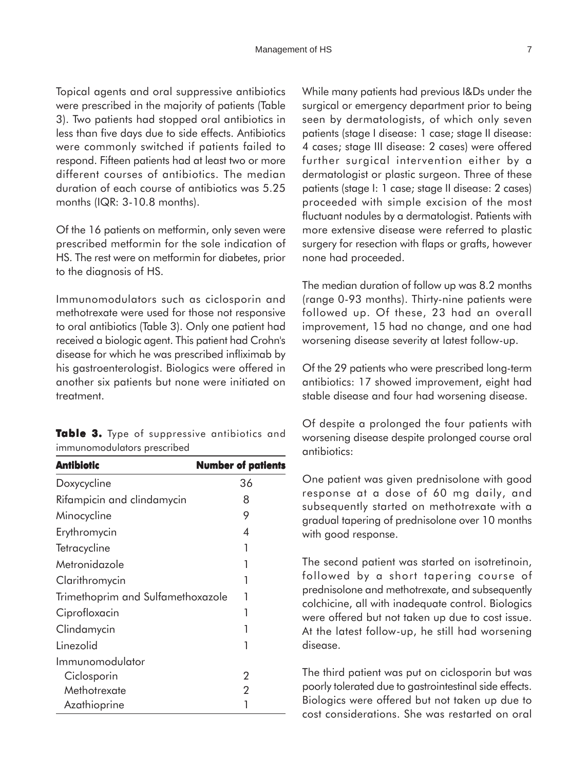Topical agents and oral suppressive antibiotics were prescribed in the majority of patients (Table 3). Two patients had stopped oral antibiotics in less than five days due to side effects. Antibiotics were commonly switched if patients failed to respond. Fifteen patients had at least two or more different courses of antibiotics. The median duration of each course of antibiotics was 5.25 months (IQR: 3-10.8 months).

Of the 16 patients on metformin, only seven were prescribed metformin for the sole indication of HS. The rest were on metformin for diabetes, prior to the diagnosis of HS.

Immunomodulators such as ciclosporin and methotrexate were used for those not responsive to oral antibiotics (Table 3). Only one patient had received a biologic agent. This patient had Crohn's disease for which he was prescribed infliximab by his gastroenterologist. Biologics were offered in another six patients but none were initiated on treatment.

**Table 3.** Type of suppressive antibiotics and immunomodulators prescribed

| Antibiotic                        | <b>Number of patients</b> |
|-----------------------------------|---------------------------|
| Doxycycline                       | 36                        |
| Rifampicin and clindamycin        | 8                         |
| Minocycline                       | 9                         |
| Erythromycin                      | 4                         |
| Tetracycline                      | 1                         |
| Metronidazole                     |                           |
| Clarithromycin                    |                           |
| Trimethoprim and Sulfamethoxazole | 1                         |
| Ciprofloxacin                     | 1                         |
| Clindamycin                       |                           |
| Linezolid                         | 1                         |
| Immunomodulator                   |                           |
| Ciclosporin                       | 2                         |
| Methotrexate                      | 2                         |
| Azathioprine                      |                           |

While many patients had previous I&Ds under the surgical or emergency department prior to being seen by dermatologists, of which only seven patients (stage I disease: 1 case; stage II disease: 4 cases; stage III disease: 2 cases) were offered further surgical intervention either by a dermatologist or plastic surgeon. Three of these patients (stage I: 1 case; stage II disease: 2 cases) proceeded with simple excision of the most fluctuant nodules by a dermatologist. Patients with more extensive disease were referred to plastic surgery for resection with flaps or grafts, however none had proceeded.

The median duration of follow up was 8.2 months (range 0-93 months). Thirty-nine patients were followed up. Of these, 23 had an overall improvement, 15 had no change, and one had worsening disease severity at latest follow-up.

Of the 29 patients who were prescribed long-term antibiotics: 17 showed improvement, eight had stable disease and four had worsening disease.

Of despite a prolonged the four patients with worsening disease despite prolonged course oral antibiotics:

One patient was given prednisolone with good response at a dose of 60 mg daily, and subsequently started on methotrexate with a gradual tapering of prednisolone over 10 months with good response.

The second patient was started on isotretinoin, followed by a short tapering course of prednisolone and methotrexate, and subsequently colchicine, all with inadequate control. Biologics were offered but not taken up due to cost issue. At the latest follow-up, he still had worsening disease.

The third patient was put on ciclosporin but was poorly tolerated due to gastrointestinal side effects. Biologics were offered but not taken up due to cost considerations. She was restarted on oral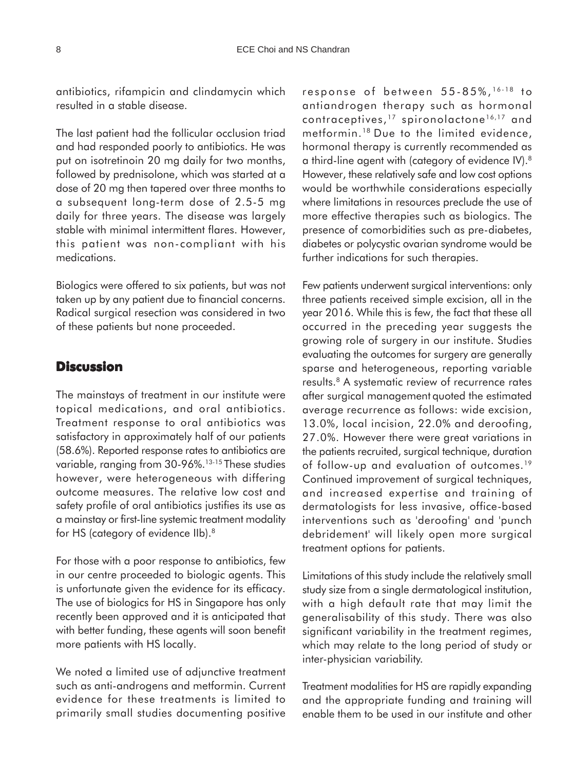antibiotics, rifampicin and clindamycin which resulted in a stable disease.

The last patient had the follicular occlusion triad and had responded poorly to antibiotics. He was put on isotretinoin 20 mg daily for two months, followed by prednisolone, which was started at a dose of 20 mg then tapered over three months to a subsequent long-term dose of 2.5-5 mg daily for three years. The disease was largely stable with minimal intermittent flares. However, this patient was non-compliant with his medications.

Biologics were offered to six patients, but was not taken up by any patient due to financial concerns. Radical surgical resection was considered in two of these patients but none proceeded.

### **Discussion**

The mainstays of treatment in our institute were topical medications, and oral antibiotics. Treatment response to oral antibiotics was satisfactory in approximately half of our patients (58.6%). Reported response rates to antibiotics are variable, ranging from 30-96%.13-15 These studies however, were heterogeneous with differing outcome measures. The relative low cost and safety profile of oral antibiotics justifies its use as a mainstay or first-line systemic treatment modality for HS (category of evidence IIb).<sup>8</sup>

For those with a poor response to antibiotics, few in our centre proceeded to biologic agents. This is unfortunate given the evidence for its efficacy. The use of biologics for HS in Singapore has only recently been approved and it is anticipated that with better funding, these agents will soon benefit more patients with HS locally.

We noted a limited use of adjunctive treatment such as anti-androgens and metformin. Current evidence for these treatments is limited to primarily small studies documenting positive response of between 55-85%, 16-18 to antiandrogen therapy such as hormonal contraceptives,<sup>17</sup> spironolactone<sup>16,17</sup> and metformin.18 Due to the limited evidence, hormonal therapy is currently recommended as a third-line agent with (category of evidence IV).8 However, these relatively safe and low cost options would be worthwhile considerations especially where limitations in resources preclude the use of more effective therapies such as biologics. The presence of comorbidities such as pre-diabetes, diabetes or polycystic ovarian syndrome would be further indications for such therapies.

Few patients underwent surgical interventions: only three patients received simple excision, all in the year 2016. While this is few, the fact that these all occurred in the preceding year suggests the growing role of surgery in our institute. Studies evaluating the outcomes for surgery are generally sparse and heterogeneous, reporting variable results.8 A systematic review of recurrence rates after surgical management quoted the estimated average recurrence as follows: wide excision, 13.0%, local incision, 22.0% and deroofing, 27.0%. However there were great variations in the patients recruited, surgical technique, duration of follow-up and evaluation of outcomes.<sup>19</sup> Continued improvement of surgical techniques, and increased expertise and training of dermatologists for less invasive, office-based interventions such as 'deroofing' and 'punch debridement' will likely open more surgical treatment options for patients.

Limitations of this study include the relatively small study size from a single dermatological institution, with a high default rate that may limit the generalisability of this study. There was also significant variability in the treatment regimes, which may relate to the long period of study or inter-physician variability.

Treatment modalities for HS are rapidly expanding and the appropriate funding and training will enable them to be used in our institute and other